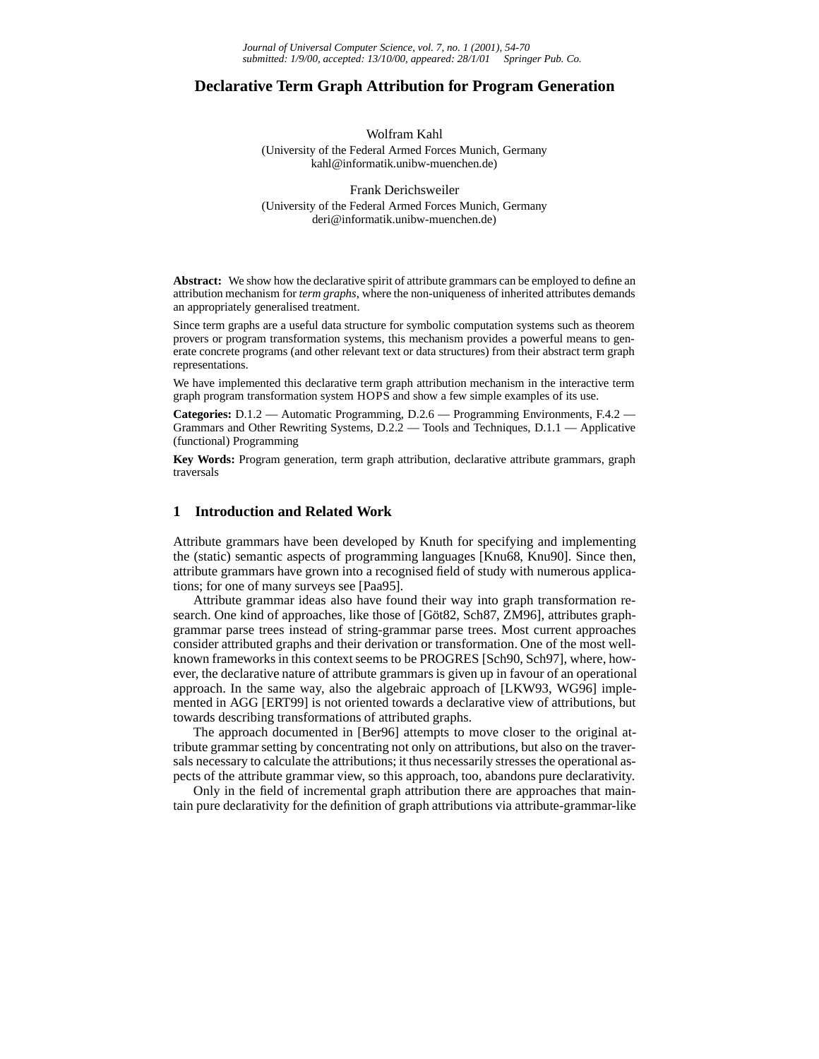### **Declarative Term Graph Attribution for Program Generation**

Wolfram Kahl

(University of the Federal Armed Forces Munich, Germany kahl@informatik.unibw-muenchen.de)

Frank Derichsweiler (University of the Federal Armed Forces Munich, Germany deri@informatik.unibw-muenchen.de)

**Abstract:** We show how the declarative spirit of attribute grammars can be employed to define an attribution mechanism for *term graphs*, where the non-uniqueness of inherited attributes demands an appropriately generalised treatment.

Since term graphs are a useful data structure for symbolic computation systems such as theorem provers or program transformation systems, this mechanism provides a powerful means to generate concrete programs (and other relevant text or data structures) from their abstract term graph representations.

We have implemented this declarative term graph attribution mechanism in the interactive term graph program transformation system HOPS and show a few simple examples of its use.

**Categories:** D.1.2 — Automatic Programming, D.2.6 — Programming Environments, F.4.2 — Grammars and Other Rewriting Systems, D.2.2 — Tools and Techniques, D.1.1 — Applicative (functional) Programming

**Key Words:** Program generation, term graph attribution, declarative attribute grammars, graph traversals

### **1 Introduction and Related Work**

Attribute grammars have been developed by Knuth for specifying and implementing the (static) semantic aspects of programming languages [Knu68, Knu90]. Since then, attribute grammars have grown into a recognised field of study with numerous applications; for one of many surveys see [Paa95].

Attribute grammar ideas also have found their way into graph transformation research. One kind of approaches, like those of [Göt82, Sch87, ZM96], attributes graphgrammar parse trees instead of string-grammar parse trees. Most current approaches consider attributed graphs and their derivation or transformation. One of the most wellknown frameworks in this context seems to be PROGRES [Sch90, Sch97], where, however, the declarative nature of attribute grammars is given up in favour of an operational approach. In the same way, also the algebraic approach of [LKW93, WG96] implemented in AGG [ERT99] is not oriented towards a declarative view of attributions, but towards describing transformations of attributed graphs.

The approach documented in [Ber96] attempts to move closer to the original attribute grammar setting by concentrating not only on attributions, but also on the traversals necessary to calculate the attributions; it thus necessarily stresses the operational aspects of the attribute grammar view, so this approach, too, abandons pure declarativity.

Only in the field of incremental graph attribution there are approaches that maintain pure declarativity for the definition of graph attributions via attribute-grammar-like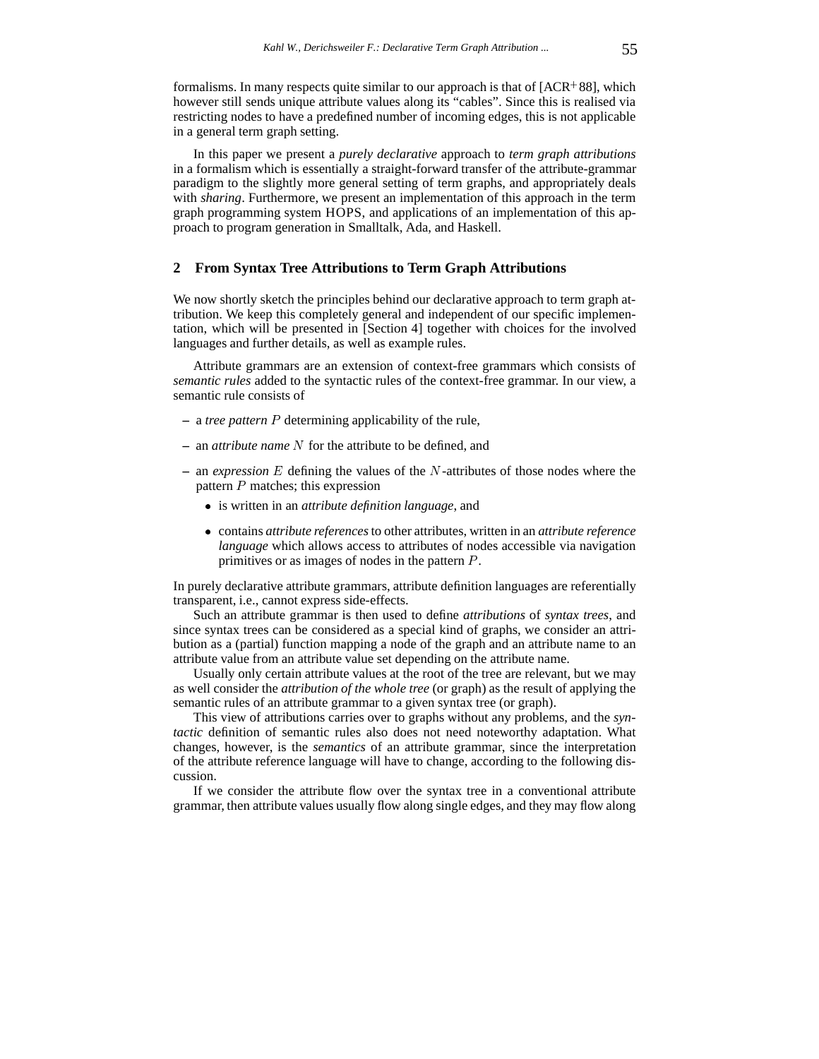formalisms. In many respects quite similar to our approach is that of  $[ACR<sup>+</sup>88]$ , which however still sends unique attribute values along its "cables". Since this is realised via restricting nodes to have a predefined number of incoming edges, this is not applicable in a general term graph setting.

In this paper we present a *purely declarative* approach to *term graph attributions* in a formalism which is essentially a straight-forward transfer of the attribute-grammar paradigm to the slightly more general setting of term graphs, and appropriately deals with *sharing*. Furthermore, we present an implementation of this approach in the term graph programming system HOPS, and applications of an implementation of this approach to program generation in Smalltalk, Ada, and Haskell.

### **2 From Syntax Tree Attributions to Term Graph Attributions**

We now shortly sketch the principles behind our declarative approach to term graph attribution. We keep this completely general and independent of our specific implementation, which will be presented in [Section 4] together with choices for the involved languages and further details, as well as example rules.

Attribute grammars are an extension of context-free grammars which consists of *semantic rules* added to the syntactic rules of the context-free grammar. In our view, a semantic rule consists of

- **–** a *tree pattern* <sup>P</sup> determining applicability of the rule,
- **–** an *attribute name* <sup>N</sup> for the attribute to be defined, and
- **–** an *expression* <sup>E</sup> defining the values of the <sup>N</sup>-attributes of those nodes where the pattern  $P$  matches; this expression
	- is written in an *attribute definition language*, and
	- contains *attribute references*to other attributes, written in an *attribute reference language* which allows access to attributes of nodes accessible via navigation primitives or as images of nodes in the pattern P.

In purely declarative attribute grammars, attribute definition languages are referentially transparent, i.e., cannot express side-effects.

Such an attribute grammar is then used to define *attributions* of *syntax trees*, and since syntax trees can be considered as a special kind of graphs, we consider an attribution as a (partial) function mapping a node of the graph and an attribute name to an attribute value from an attribute value set depending on the attribute name.

Usually only certain attribute values at the root of the tree are relevant, but we may as well consider the *attribution of the whole tree* (or graph) as the result of applying the semantic rules of an attribute grammar to a given syntax tree (or graph).

This view of attributions carries over to graphs without any problems, and the *syntactic* definition of semantic rules also does not need noteworthy adaptation. What changes, however, is the *semantics* of an attribute grammar, since the interpretation of the attribute reference language will have to change, according to the following discussion.

If we consider the attribute flow over the syntax tree in a conventional attribute grammar, then attribute values usually flow along single edges, and they may flow along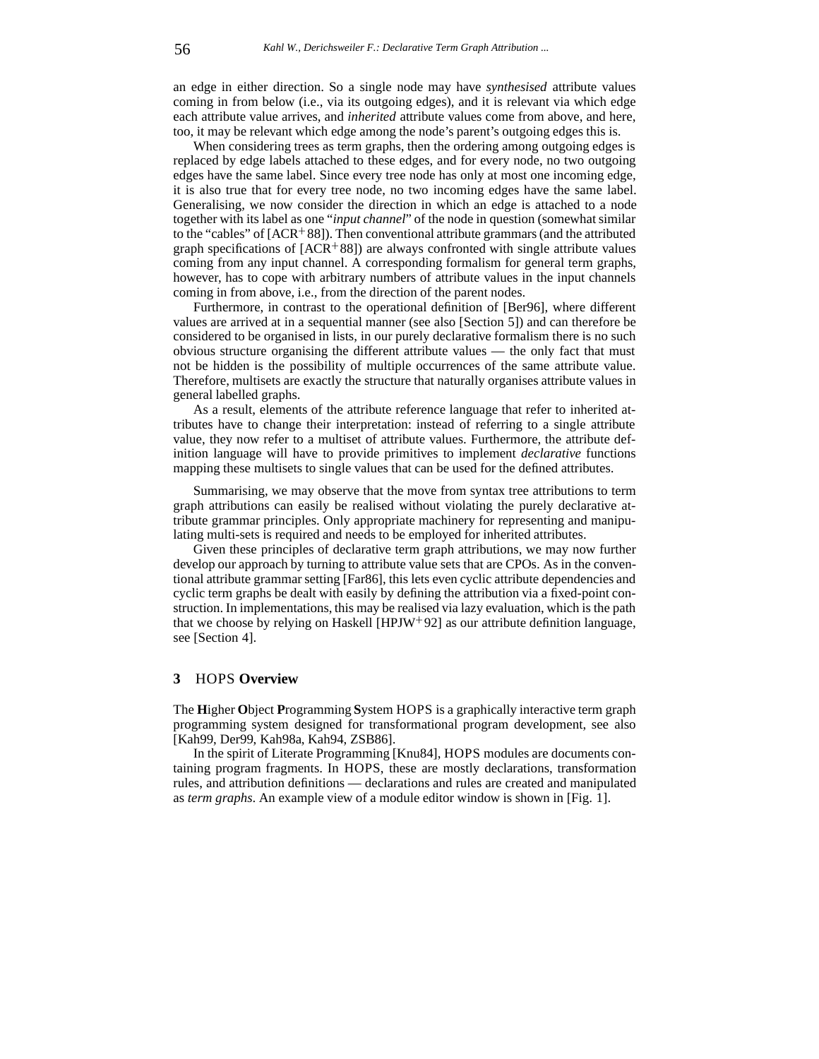an edge in either direction. So a single node may have *synthesised* attribute values coming in from below (i.e., via its outgoing edges), and it is relevant via which edge each attribute value arrives, and *inherited* attribute values come from above, and here, too, it may be relevant which edge among the node's parent's outgoing edges this is.

When considering trees as term graphs, then the ordering among outgoing edges is replaced by edge labels attached to these edges, and for every node, no two outgoing edges have the same label. Since every tree node has only at most one incoming edge, it is also true that for every tree node, no two incoming edges have the same label. Generalising, we now consider the direction in which an edge is attached to a node together with its label as one "*input channel*" of the node in question (somewhat similar to the "cables" of [ACR<sup>+</sup>88]). Then conventional attribute grammars (and the attributed graph specifications of [ACR<sup>+</sup> 88]) are always confronted with single attribute values coming from any input channel. A corresponding formalism for general term graphs, however, has to cope with arbitrary numbers of attribute values in the input channels coming in from above, i.e., from the direction of the parent nodes.

Furthermore, in contrast to the operational definition of [Ber96], where different values are arrived at in a sequential manner (see also [Section 5]) and can therefore be considered to be organised in lists, in our purely declarative formalism there is no such obvious structure organising the different attribute values — the only fact that must not be hidden is the possibility of multiple occurrences of the same attribute value. Therefore, multisets are exactly the structure that naturally organises attribute values in general labelled graphs.

As a result, elements of the attribute reference language that refer to inherited attributes have to change their interpretation: instead of referring to a single attribute value, they now refer to a multiset of attribute values. Furthermore, the attribute definition language will have to provide primitives to implement *declarative* functions mapping these multisets to single values that can be used for the defined attributes.

Summarising, we may observe that the move from syntax tree attributions to term graph attributions can easily be realised without violating the purely declarative attribute grammar principles. Only appropriate machinery for representing and manipulating multi-sets is required and needs to be employed for inherited attributes.

Given these principles of declarative term graph attributions, we may now further develop our approach by turning to attribute value sets that are CPOs. As in the conventional attribute grammar setting [Far86], this lets even cyclic attribute dependencies and cyclic term graphs be dealt with easily by defining the attribution via a fixed-point construction. In implementations, this may be realised via lazy evaluation, which is the path that we choose by relying on Haskell [HPJW<sup>+</sup> 92] as our attribute definition language, see [Section 4].

### **3** HOPS **Overview**

The **H**igher **O**bject **P**rogramming **S**ystem HOPS is a graphically interactive term graph programming system designed for transformational program development, see also [Kah99, Der99, Kah98a, Kah94, ZSB86].

In the spirit of Literate Programming [Knu84], HOPS modules are documents containing program fragments. In HOPS, these are mostly declarations, transformation rules, and attribution definitions — declarations and rules are created and manipulated as *term graphs*. An example view of a module editor window is shown in [Fig. 1].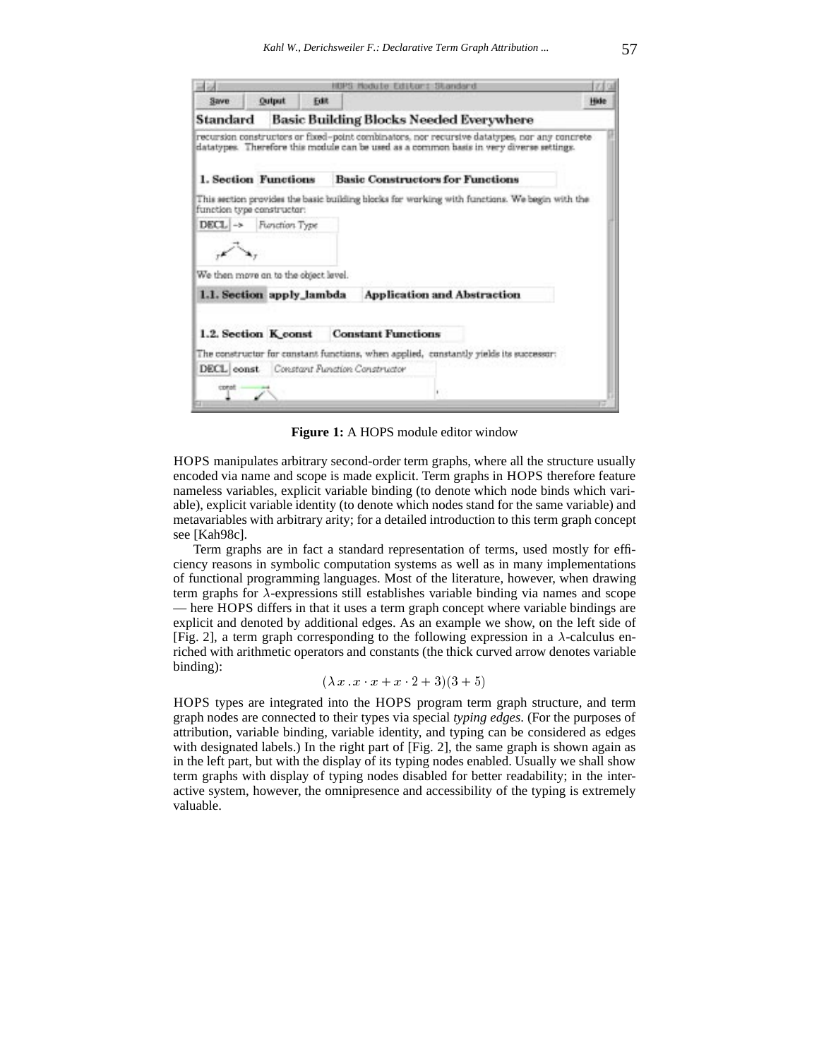|                                      |               |      | HUPS Module Editor: Standard                                                                                                                                                             |      |
|--------------------------------------|---------------|------|------------------------------------------------------------------------------------------------------------------------------------------------------------------------------------------|------|
| Save                                 | <b>Output</b> | Edit |                                                                                                                                                                                          | Hide |
| Standard                             |               |      | Basic Building Blocks Needed Everywhere                                                                                                                                                  |      |
|                                      |               |      | recursion constructors or fixed-point combinators, nor recursive datatypes, nor any concrete<br>datatypes. Therefore this module can be used as a common basis in very diverse settings. |      |
| 1. Section Functions                 |               |      | <b>Basic Constructors for Functions</b>                                                                                                                                                  |      |
| function type constructor:           |               |      | This section provides the basic building blocks for working with functions. We begin with the                                                                                            |      |
| $DECL \rightarrow$                   | Function Type |      |                                                                                                                                                                                          |      |
|                                      |               |      |                                                                                                                                                                                          |      |
| We then move on to the object level. |               |      |                                                                                                                                                                                          |      |
| 1.1. Section apply_lambda            |               |      | <b>Application and Abstraction</b>                                                                                                                                                       |      |
|                                      |               |      |                                                                                                                                                                                          |      |
| 1.2. Section K const                 |               |      | <b>Constant Functions</b>                                                                                                                                                                |      |
|                                      |               |      | The constructor for constant functions, when applied, constantly yields its successor:                                                                                                   |      |
|                                      |               |      | <b>DECL</b> const. Constant Function Constructor                                                                                                                                         |      |
| const                                |               |      |                                                                                                                                                                                          |      |
|                                      |               |      |                                                                                                                                                                                          |      |

**Figure 1:** A HOPS module editor window

HOPS manipulates arbitrary second-order term graphs, where all the structure usually encoded via name and scope is made explicit. Term graphs in HOPS therefore feature nameless variables, explicit variable binding (to denote which node binds which variable), explicit variable identity (to denote which nodes stand for the same variable) and metavariables with arbitrary arity; for a detailed introduction to this term graph concept see [Kah98c].

Term graphs are in fact a standard representation of terms, used mostly for efficiency reasons in symbolic computation systems as well as in many implementations of functional programming languages. Most of the literature, however, when drawing term graphs for  $\lambda$ -expressions still establishes variable binding via names and scope — here HOPS differs in that it uses a term graph concept where variable bindings are explicit and denoted by additional edges. As an example we show, on the left side of [Fig. 2], a term graph corresponding to the following expression in a  $\lambda$ -calculus enriched with arithmetic operators and constants (the thick curved arrow denotes variable binding):

 $(\lambda x \cdot x \cdot x + x \cdot 2 + 3)(3 + 5)$ 

HOPS types are integrated into the HOPS program term graph structure, and term graph nodes are connected to their types via special *typing edges*. (For the purposes of attribution, variable binding, variable identity, and typing can be considered as edges with designated labels.) In the right part of [Fig. 2], the same graph is shown again as in the left part, but with the display of its typing nodes enabled. Usually we shall show term graphs with display of typing nodes disabled for better readability; in the interactive system, however, the omnipresence and accessibility of the typing is extremely valuable.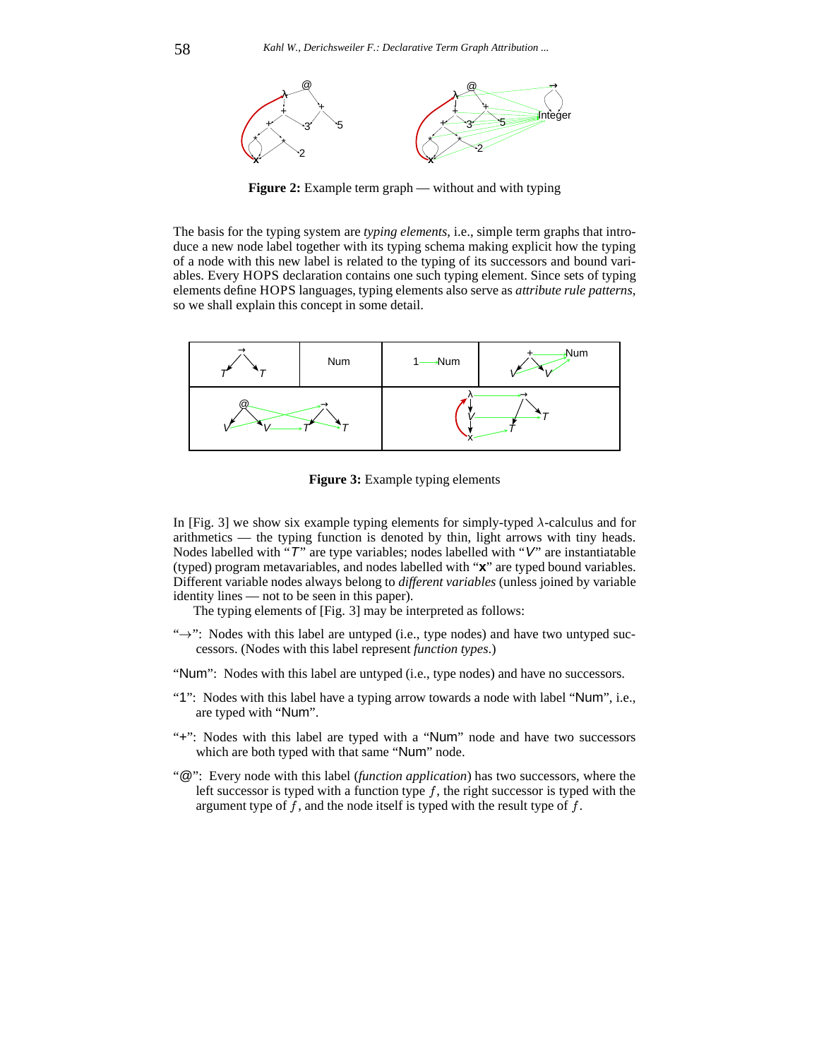

**Figure 2:** Example term graph — without and with typing

The basis for the typing system are *typing elements*, i.e., simple term graphs that introduce a new node label together with its typing schema making explicit how the typing of a node with this new label is related to the typing of its successors and bound variables. Every HOPS declaration contains one such typing element. Since sets of typing elements define HOPS languages, typing elements also serve as *attribute rule patterns*, so we shall explain this concept in some detail.



**Figure 3:** Example typing elements

In [Fig. 3] we show six example typing elements for simply-typed  $\lambda$ -calculus and for arithmetics — the typing function is denoted by thin, light arrows with tiny heads. Nodes labelled with "T" are type variables; nodes labelled with "V" are instantiatable (typed) program metavariables, and nodes labelled with "**x**" are typed bound variables. Different variable nodes always belong to *different variables* (unless joined by variable identity lines — not to be seen in this paper).

The typing elements of [Fig. 3] may be interpreted as follows:

- " $\rightarrow$ ": Nodes with this label are untyped (i.e., type nodes) and have two untyped successors. (Nodes with this label represent *function types*.)
- "Num": Nodes with this label are untyped (i.e., type nodes) and have no successors.
- "1": Nodes with this label have a typing arrow towards a node with label "Num", i.e., are typed with "Num".
- "+": Nodes with this label are typed with a "Num" node and have two successors which are both typed with that same "Num" node.
- "@": Every node with this label (*function application*) has two successors, where the left successor is typed with a function type  $f$ , the right successor is typed with the argument type of  $f$ , and the node itself is typed with the result type of  $f$ .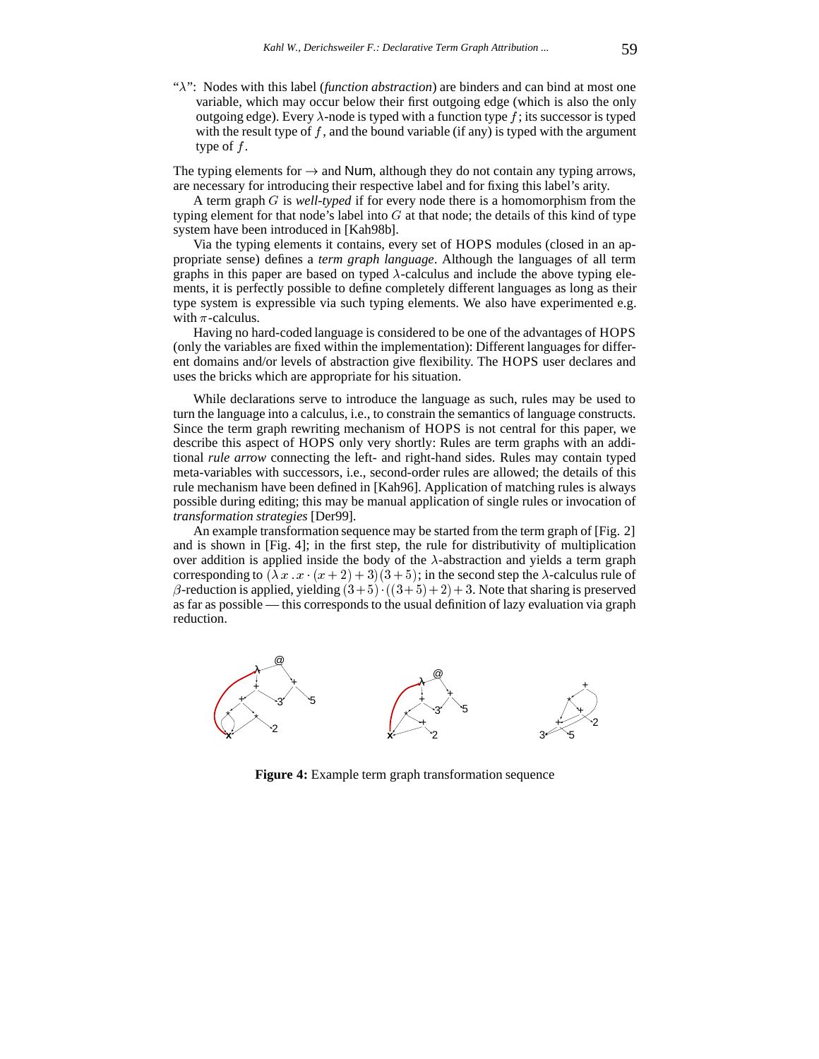" $\lambda$ ": Nodes with this label *(function abstraction)* are binders and can bind at most one variable, which may occur below their first outgoing edge (which is also the only outgoing edge). Every  $\lambda$ -node is typed with a function type f; its successor is typed with the result type of  $f$ , and the bound variable (if any) is typed with the argument type of  $f$ .

The typing elements for  $\rightarrow$  and Num, although they do not contain any typing arrows, are necessary for introducing their respective label and for fixing this label's arity.

A term graph <sup>G</sup> is *well-typed* if for every node there is a homomorphism from the typing element for that node's label into  $G$  at that node; the details of this kind of type system have been introduced in [Kah98b].

Via the typing elements it contains, every set of HOPS modules (closed in an appropriate sense) defines a *term graph language*. Although the languages of all term graphs in this paper are based on typed  $\lambda$ -calculus and include the above typing elements, it is perfectly possible to define completely different languages as long as their type system is expressible via such typing elements. We also have experimented e.g. with  $\pi$ -calculus.

Having no hard-coded language is considered to be one of the advantages of HOPS (only the variables are fixed within the implementation): Different languages for different domains and/or levels of abstraction give flexibility. The HOPS user declares and uses the bricks which are appropriate for his situation.

While declarations serve to introduce the language as such, rules may be used to turn the language into a calculus, i.e., to constrain the semantics of language constructs. Since the term graph rewriting mechanism of HOPS is not central for this paper, we describe this aspect of HOPS only very shortly: Rules are term graphs with an additional *rule arrow* connecting the left- and right-hand sides. Rules may contain typed meta-variables with successors, i.e., second-order rules are allowed; the details of this rule mechanism have been defined in [Kah96]. Application of matching rules is always possible during editing; this may be manual application of single rules or invocation of *transformation strategies* [Der99].

An example transformation sequence may be started from the term graph of [Fig. 2] and is shown in [Fig. 4]; in the first step, the rule for distributivity of multiplication over addition is applied inside the body of the  $\lambda$ -abstraction and yields a term graph corresponding to  $(\lambda x \cdot x \cdot (x+2) + 3)(3+5)$ ; in the second step the  $\lambda$ -calculus rule of  $\beta$ -reduction is applied, yielding  $(3+5) \cdot ((3+5)+2) + 3$ . Note that sharing is preserved as far as possible — this corresponds to the usual definition of lazy evaluation via graph reduction.



**Figure 4:** Example term graph transformation sequence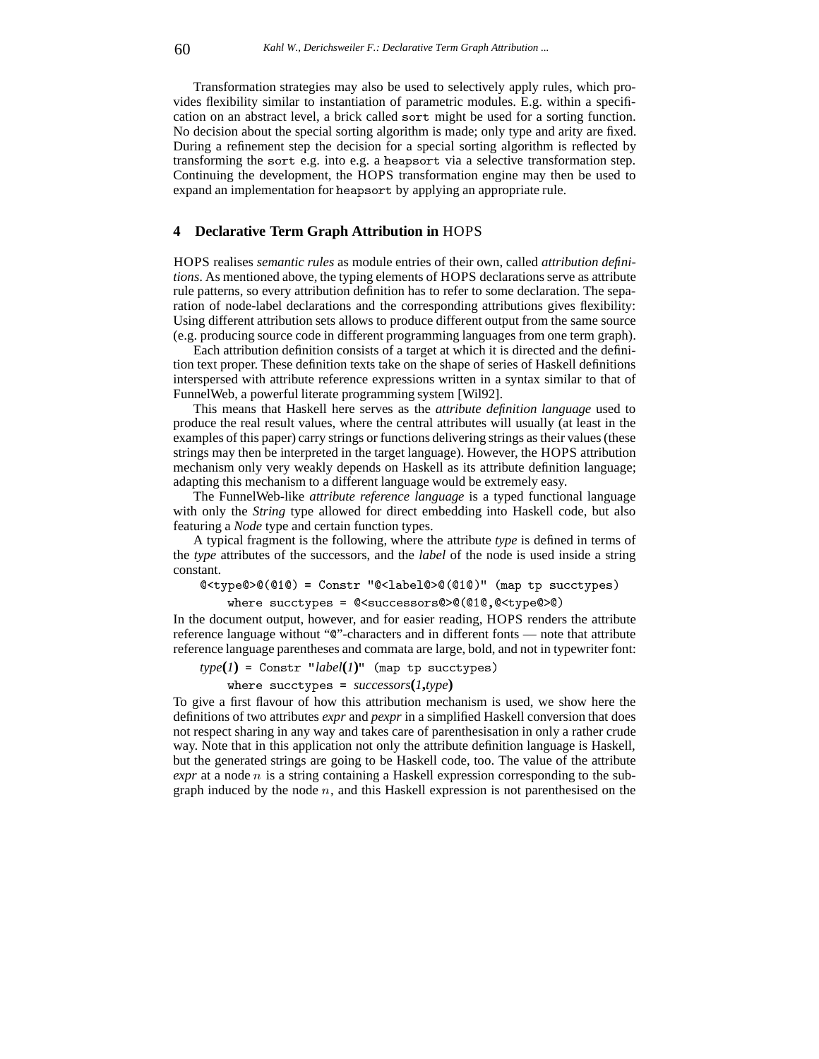Transformation strategies may also be used to selectively apply rules, which provides flexibility similar to instantiation of parametric modules. E.g. within a specification on an abstract level, a brick called sort might be used for a sorting function. No decision about the special sorting algorithm is made; only type and arity are fixed. During a refinement step the decision for a special sorting algorithm is reflected by transforming the sort e.g. into e.g. a heapsort via a selective transformation step. Continuing the development, the HOPS transformation engine may then be used to expand an implementation for heapsort by applying an appropriate rule.

### **4 Declarative Term Graph Attribution in** HOPS

HOPS realises *semantic rules* as module entries of their own, called *attribution definitions*. As mentioned above, the typing elements of HOPS declarations serve as attribute rule patterns, so every attribution definition has to refer to some declaration. The separation of node-label declarations and the corresponding attributions gives flexibility: Using different attribution sets allows to produce different output from the same source (e.g. producing source code in different programming languages from one term graph).

Each attribution definition consists of a target at which it is directed and the definition text proper. These definition texts take on the shape of series of Haskell definitions interspersed with attribute reference expressions written in a syntax similar to that of FunnelWeb, a powerful literate programming system [Wil92].

This means that Haskell here serves as the *attribute definition language* used to produce the real result values, where the central attributes will usually (at least in the examples of this paper) carry strings or functions delivering strings as their values (these strings may then be interpreted in the target language). However, the HOPS attribution mechanism only very weakly depends on Haskell as its attribute definition language; adapting this mechanism to a different language would be extremely easy.

The FunnelWeb-like *attribute reference language* is a typed functional language with only the *String* type allowed for direct embedding into Haskell code, but also featuring a *Node* type and certain function types.

A typical fragment is the following, where the attribute *type* is defined in terms of the *type* attributes of the successors, and the *label* of the node is used inside a string constant.

@<type@>@(@1@) <sup>=</sup> Constr "@<label@>@(@1@)" (map tp succtypes)

where successors a public successors of the successors of the successors of the successors of the successors o

In the document output, however, and for easier reading, HOPS renders the attribute reference language without "@"-characters and in different fonts — note that attribute reference language parentheses and commata are large, bold, and not in typewriter font:

 $type(I) =$  Constr "*label*( $I$ )" (map tp succtypes)

where succtypes <sup>=</sup> *successors***(***1***,***type***)**

To give a first flavour of how this attribution mechanism is used, we show here the definitions of two attributes *expr* and *pexpr* in a simplified Haskell conversion that does not respect sharing in any way and takes care of parenthesisation in only a rather crude way. Note that in this application not only the attribute definition language is Haskell, but the generated strings are going to be Haskell code, too. The value of the attribute *expr* at a node *n* is a string containing a Haskell expression corresponding to the subgraph induced by the node  $n$ , and this Haskell expression is not parenthesised on the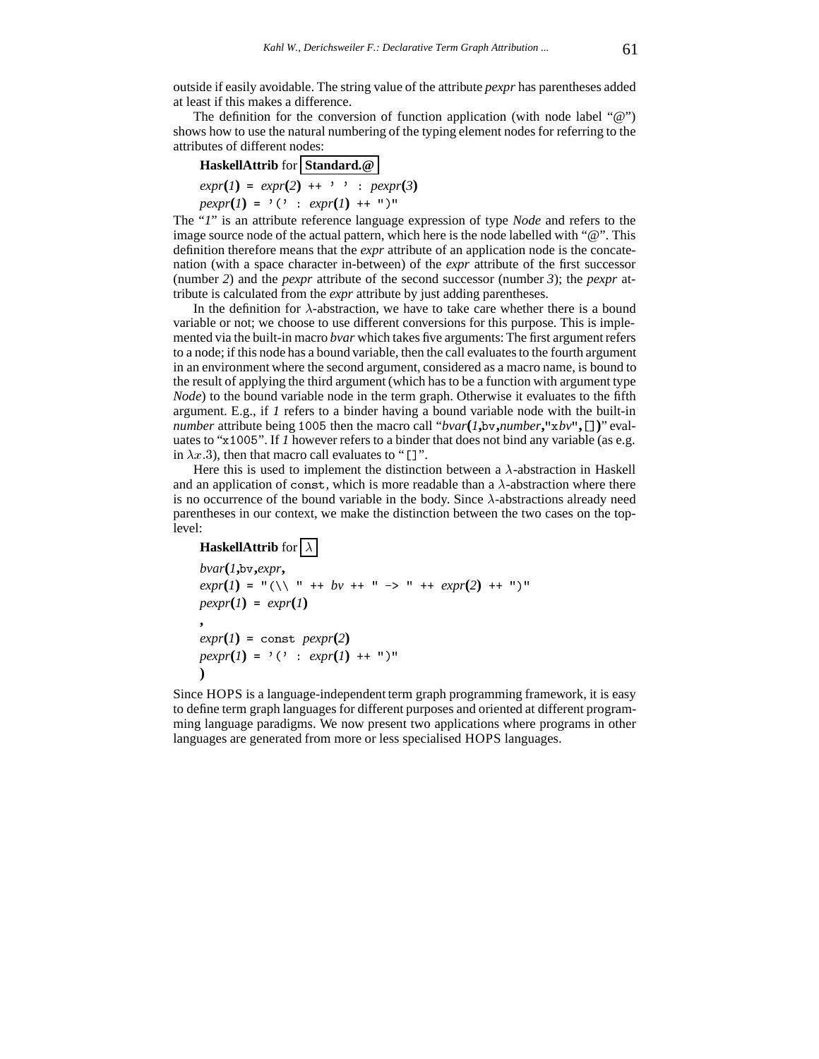outside if easily avoidable. The string value of the attribute *pexpr* has parentheses added at least if this makes a difference.

The definition for the conversion of function application (with node label "@") shows how to use the natural numbering of the typing element nodes for referring to the attributes of different nodes:

# **HaskellAttrib** for **Standard.@**  $expr(1) = expr(2) + \cdots$  :  $pexpr(3)$  $pexpr(I) = '(' : expr(I) ++ "')$

The "*1*" is an attribute reference language expression of type *Node* and refers to the image source node of the actual pattern, which here is the node labelled with "@". This definition therefore means that the *expr* attribute of an application node is the concatenation (with a space character in-between) of the *expr* attribute of the first successor (number *2*) and the *pexpr* attribute of the second successor (number *3*); the *pexpr* attribute is calculated from the *expr* attribute by just adding parentheses.

In the definition for  $\lambda$ -abstraction, we have to take care whether there is a bound variable or not; we choose to use different conversions for this purpose. This is implemented via the built-in macro *bvar* which takes five arguments: The first argument refers to a node; if this node has a bound variable, then the call evaluates to the fourth argument in an environment where the second argument, considered as a macro name, is bound to the result of applying the third argument (which has to be a function with argument type *Node*) to the bound variable node in the term graph. Otherwise it evaluates to the fifth argument. E.g., if *1* refers to a binder having a bound variable node with the built-in *number* attribute being <sup>1005</sup> then the macro call "*bvar***(***1***,**bv**,***number***,**"x*bv*"**,**[]**)**" evaluates to "x1005". If *1* however refers to a binder that does not bind any variable (as e.g. in  $\lambda x$ :3), then that macro call evaluates to "[]".

Here this is used to implement the distinction between a  $\lambda$ -abstraction in Haskell and an application of const, which is more readable than a  $\lambda$ -abstraction where there is no occurrence of the bound variable in the body. Since  $\lambda$ -abstractions already need parentheses in our context, we make the distinction between the two cases on the toplevel:

## **HaskellAttrib** for  $\lambda$

```
bvar(1,bv,expr,
exp(r(1) = "(\setminus \setminus "++) + by++) "-> "++ expr(2) ++ "')"pexpr(1) = expr(1),
expr(1) = \text{const } pexp(r(2))pexp(r(1) = (y \cdot 1) \cdot exp(r(1) + (y \cdot 1)))
```
Since HOPS is a language-independent term graph programming framework, it is easy to define term graph languages for different purposes and oriented at different programming language paradigms. We now present two applications where programs in other languages are generated from more or less specialised HOPS languages.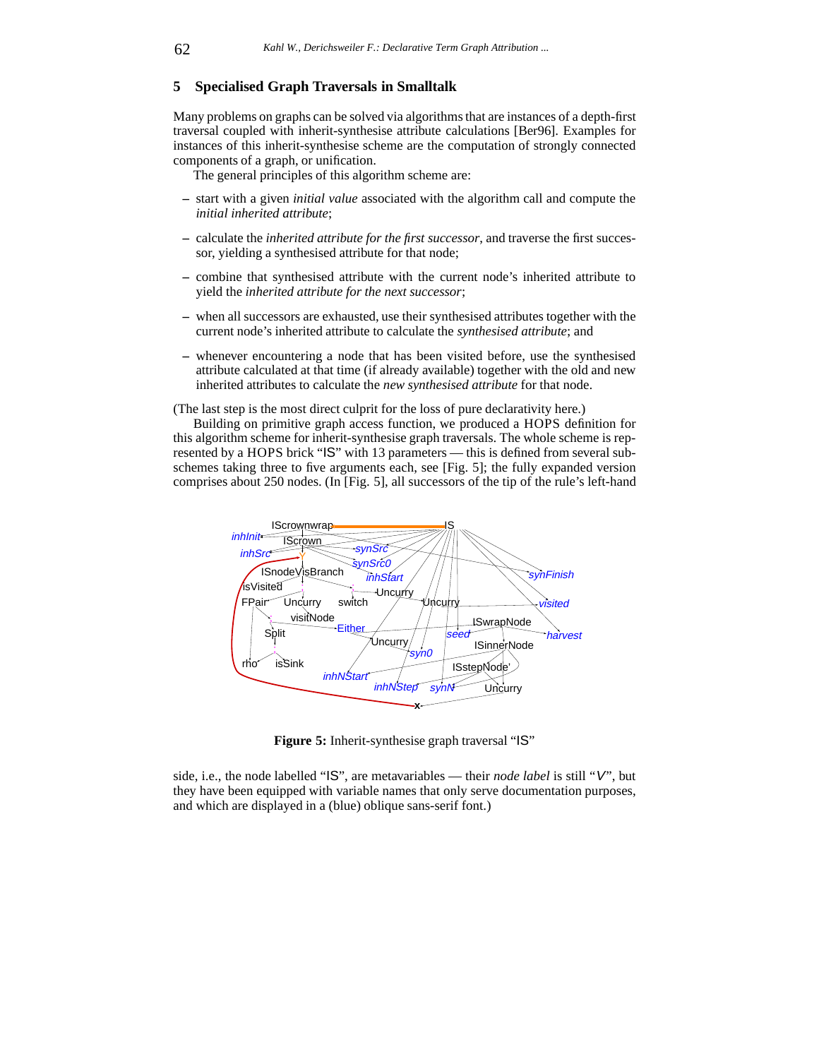### **5 Specialised Graph Traversals in Smalltalk**

Many problems on graphs can be solved via algorithms that are instances of a depth-first traversal coupled with inherit-synthesise attribute calculations [Ber96]. Examples for instances of this inherit-synthesise scheme are the computation of strongly connected components of a graph, or unification.

The general principles of this algorithm scheme are:

- **–** start with a given *initial value* associated with the algorithm call and compute the *initial inherited attribute*;
- **–** calculate the *inherited attribute for the first successor*, and traverse the first successor, yielding a synthesised attribute for that node;
- **–** combine that synthesised attribute with the current node's inherited attribute to yield the *inherited attribute for the next successor*;
- **–** when all successors are exhausted, use their synthesised attributes together with the current node's inherited attribute to calculate the *synthesised attribute*; and
- **–** whenever encountering a node that has been visited before, use the synthesised attribute calculated at that time (if already available) together with the old and new inherited attributes to calculate the *new synthesised attribute* for that node.

(The last step is the most direct culprit for the loss of pure declarativity here.)

Building on primitive graph access function, we produced a HOPS definition for this algorithm scheme for inherit-synthesise graph traversals. The whole scheme is represented by a HOPS brick "IS" with 13 parameters — this is defined from several subschemes taking three to five arguments each, see [Fig. 5]; the fully expanded version comprises about 250 nodes. (In [Fig. 5], all successors of the tip of the rule's left-hand



Figure 5: Inherit-synthesise graph traversal "IS"

side, i.e., the node labelled "IS", are metavariables — their *node label* is still "V", but they have been equipped with variable names that only serve documentation purposes, and which are displayed in a (blue) oblique sans-serif font.)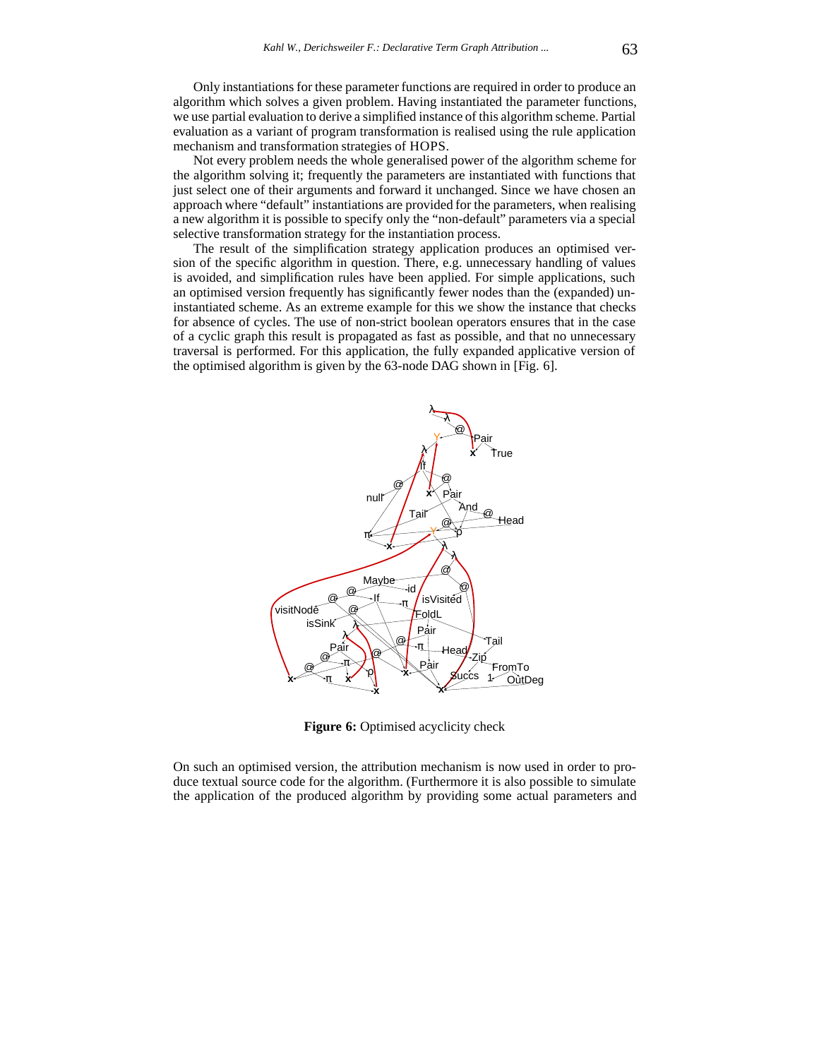Only instantiations for these parameter functions are required in order to produce an algorithm which solves a given problem. Having instantiated the parameter functions, we use partial evaluation to derive a simplified instance of this algorithm scheme. Partial evaluation as a variant of program transformation is realised using the rule application mechanism and transformation strategies of HOPS.

Not every problem needs the whole generalised power of the algorithm scheme for the algorithm solving it; frequently the parameters are instantiated with functions that just select one of their arguments and forward it unchanged. Since we have chosen an approach where "default" instantiations are provided for the parameters, when realising a new algorithm it is possible to specify only the "non-default" parameters via a special selective transformation strategy for the instantiation process.

The result of the simplification strategy application produces an optimised version of the specific algorithm in question. There, e.g. unnecessary handling of values is avoided, and simplification rules have been applied. For simple applications, such an optimised version frequently has significantly fewer nodes than the (expanded) uninstantiated scheme. As an extreme example for this we show the instance that checks for absence of cycles. The use of non-strict boolean operators ensures that in the case of a cyclic graph this result is propagated as fast as possible, and that no unnecessary traversal is performed. For this application, the fully expanded applicative version of the optimised algorithm is given by the 63-node DAG shown in [Fig. 6].



**Figure 6:** Optimised acyclicity check

On such an optimised version, the attribution mechanism is now used in order to produce textual source code for the algorithm. (Furthermore it is also possible to simulate the application of the produced algorithm by providing some actual parameters and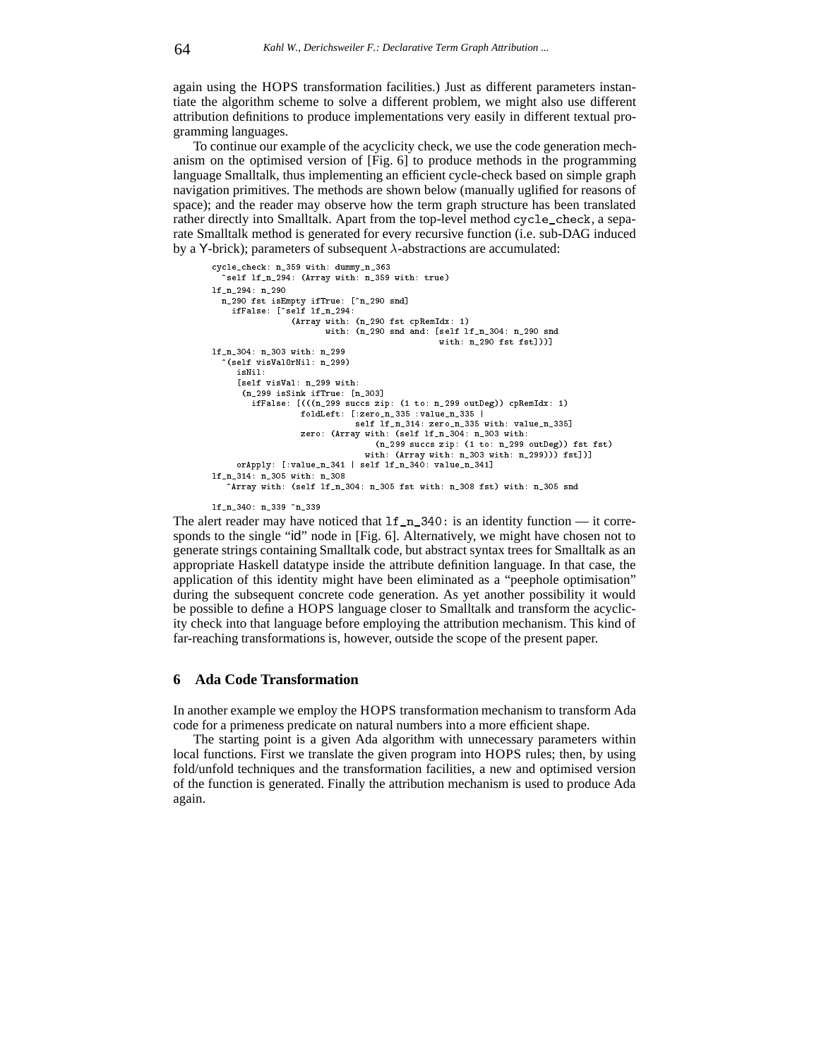again using the HOPS transformation facilities.) Just as different parameters instantiate the algorithm scheme to solve a different problem, we might also use different attribution definitions to produce implementations very easily in different textual programming languages.

To continue our example of the acyclicity check, we use the code generation mechanism on the optimised version of [Fig. 6] to produce methods in the programming language Smalltalk, thus implementing an efficient cycle-check based on simple graph navigation primitives. The methods are shown below (manually uglified for reasons of space); and the reader may observe how the term graph structure has been translated rather directly into Smalltalk. Apart from the top-level method cycle\_check, a separate Smalltalk method is generated for every recursive function (i.e. sub-DAG induced by a Y-brick); parameters of subsequent  $\lambda$ -abstractions are accumulated:

```
cycle_check: n_359 with: dummy_n_363
  ^self lf_n_294: (Array with: n_359 with: true)
lf_n_294: n_290
  n_290 fst isEmpty ifTrue: [^n_290 snd]
    ifFalse: [^self lf_n_294:
                (Array with: (n_290 fst cpRemIdx: 1)
                       with: (n_290 snd and: [self lf_n_304: n_290 snd
                                               with: n_290 fst fst]))]
lf_n_304: n_303 with: n_299
   ^(self visValOrNil: n_299)
     isNil:
     [self visVal: n_299 with:<br>(n_299 isSink ifTrue: [n_303]
      ifFalse: [(((n_299 succs zip: (1 to: n_299 outDeg)) cpRemIdx: 1)
                  foldLeft: [:zero_n_335 : value_n_335 |
                              self lf_n_314: zero_n_335 with: value_n_335]
                  zero: (Array with: (self lf_n_304: n_303 with:
                                  (n_299 succs zip: (1 to: n_299 outDeg)) fst fst)
                                with: (Array with: n_303 with: n_299))) fst])]
     orApply: [:value_n_341 | self lf_n_340: value_n_341]
lf_n_314: n_305 with: n_308
    Array with: (self lf_n_304: n_305 fst with: n_308 fst) with: n_305 snd
```

```
lf_n_340: n_339 ^n_339
```
The alert reader may have noticed that  $lf_n_340$ : is an identity function — it corresponds to the single "id" node in [Fig. 6]. Alternatively, we might have chosen not to generate strings containing Smalltalk code, but abstract syntax trees for Smalltalk as an appropriate Haskell datatype inside the attribute definition language. In that case, the application of this identity might have been eliminated as a "peephole optimisation" during the subsequent concrete code generation. As yet another possibility it would be possible to define a HOPS language closer to Smalltalk and transform the acyclicity check into that language before employing the attribution mechanism. This kind of far-reaching transformations is, however, outside the scope of the present paper.

### **6 Ada Code Transformation**

In another example we employ the HOPS transformation mechanism to transform Ada code for a primeness predicate on natural numbers into a more efficient shape.

The starting point is a given Ada algorithm with unnecessary parameters within local functions. First we translate the given program into HOPS rules; then, by using fold/unfold techniques and the transformation facilities, a new and optimised version of the function is generated. Finally the attribution mechanism is used to produce Ada again.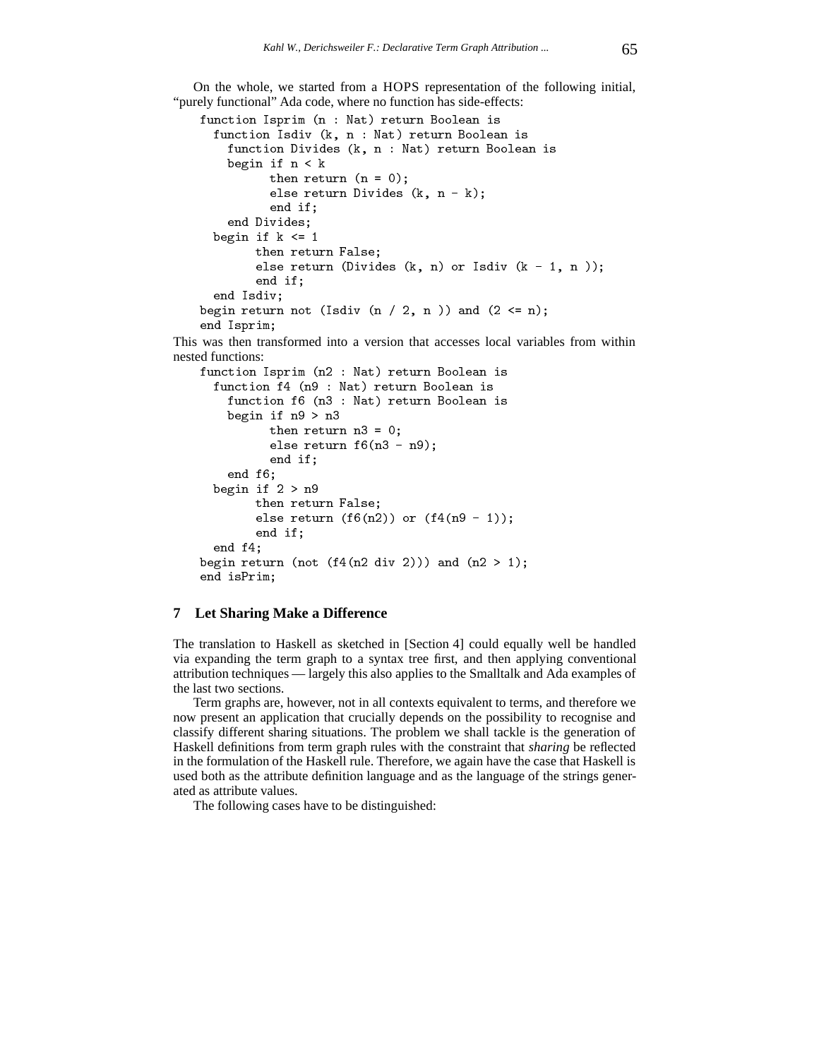On the whole, we started from a HOPS representation of the following initial, "purely functional" Ada code, where no function has side-effects:

```
function Isprim (n : Nat) return Booksen is
  function Isdiv (k, n : Nat) return Boolean is
     function Divides (k, n : Nat) return Boolean is
     begin in the contract of the contract of the contract of the contract of the contract of the contract of the c
              \sim . \sim 0 \sim . \sim . \sim . \sim . \sim . \sim . \sim . \sim . \sim . \sim . \sim . \sim . \sim . \sim . \sim . \sim . \sim . \sim . \sim . \sim . \sim . \sim . \sim . \sim . \sim . \sim . \sim . \sim . \sim . \simelse return Divides (k, n - k);
              end if;
     end Divides;
  begin if k <= 1
           then return False;
           else return (Divides (n) n) or Isaac (n) - 1, n ));
           end if;
  end Isdiv;
begin return not (Isdiv (n / 2, n )) and (2 <= n);
end Isprim;
```
This was then transformed into a version that accesses local variables from within nested functions:

```
function Isprim (n2 : Nat) return Boolean is
   function f4 (n9 : Nat) return Boolean is
      function f6 (n3 : Nat) return Boolean is
      begin if n9 > n3
               \sim 0.000 \sim 0.000 \sim 0.000 \sim 0.000 \sim 0.000 \sim 0.000 \sim 0.000 \sim 0.000 \sim 0.000 \sim 0.000 \sim 0.000 \sim 0.000 \sim 0.000 \sim 0.000 \sim 0.000 \sim 0.000 \sim 0.000 \sim 0.000 \sim 0.000 \sim 0.000 else return f6(n3 - n9);
               end if;
      end f6;
   b \sim a is a \sim a if a \sim athen return False;
            else return (food) or (ff6(n9)); or (ff6(n9)); (f
           end if:
                  if it is a set of the set of the set of the set of the set of the set of the set of the set of the set of the
   end f4;
begin return (not (f4(n2 div 2))) and (n2 > 1);
end isPrim;
```
### **7 Let Sharing Make a Difference**

The translation to Haskell as sketched in [Section 4] could equally well be handled via expanding the term graph to a syntax tree first, and then applying conventional attribution techniques — largely this also applies to the Smalltalk and Ada examples of the last two sections.

Term graphs are, however, not in all contexts equivalent to terms, and therefore we now present an application that crucially depends on the possibility to recognise and classify different sharing situations. The problem we shall tackle is the generation of Haskell definitions from term graph rules with the constraint that *sharing* be reflected in the formulation of the Haskell rule. Therefore, we again have the case that Haskell is used both as the attribute definition language and as the language of the strings generated as attribute values.

The following cases have to be distinguished: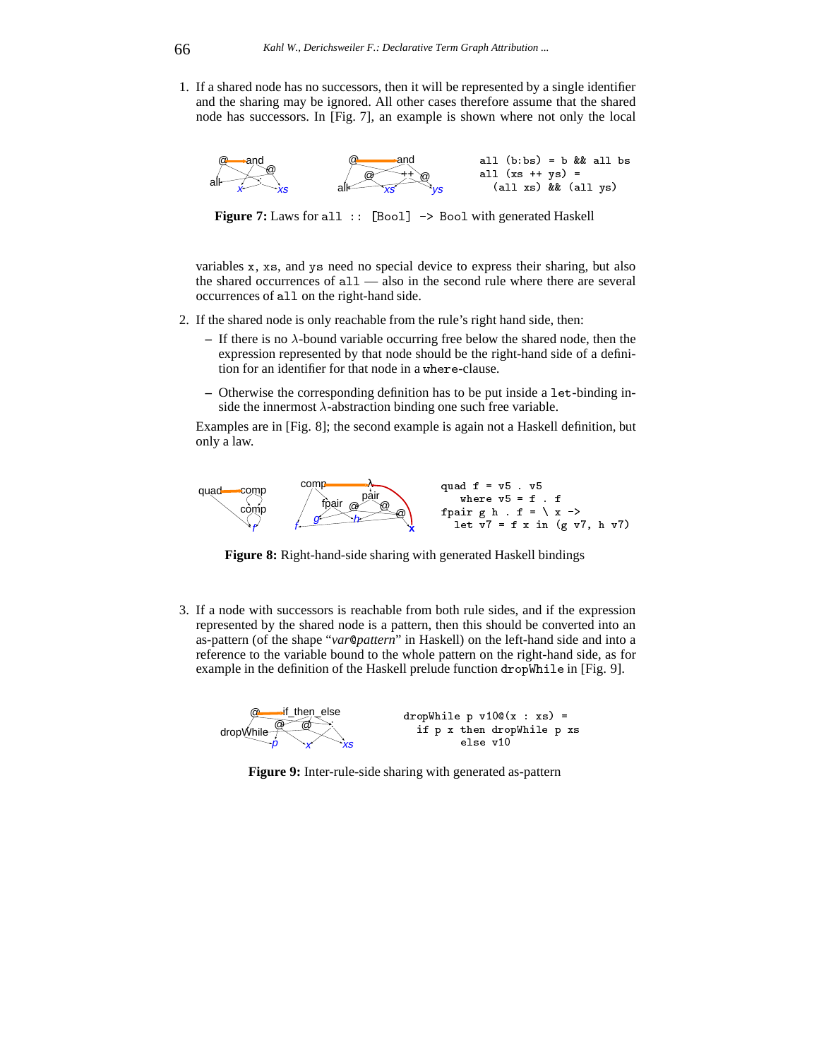1. If a shared node has no successors, then it will be represented by a single identifier and the sharing may be ignored. All other cases therefore assume that the shared node has successors. In [Fig. 7], an example is shown where not only the local



**Figure 7:** Laws for all :: [Bool] -> Bool with generated Haskell

variables <sup>x</sup>, xs, and ys need no special device to express their sharing, but also the shared occurrences of all — also in the second rule where there are several occurrences of all on the right-hand side.

- 2. If the shared node is only reachable from the rule's right hand side, then:
	- $-$  If there is no  $\lambda$ -bound variable occurring free below the shared node, then the expression represented by that node should be the right-hand side of a definition for an identifier for that node in a where-clause.
	- **–** Otherwise the corresponding definition has to be put inside a let-binding inside the innermost  $\lambda$ -abstraction binding one such free variable.

Examples are in [Fig. 8]; the second example is again not a Haskell definition, but only a law.



**Figure 8:** Right-hand-side sharing with generated Haskell bindings

3. If a node with successors is reachable from both rule sides, and if the expression represented by the shared node is a pattern, then this should be converted into an as-pattern (of the shape "*var*@*pattern*" in Haskell) on the left-hand side and into a reference to the variable bound to the whole pattern on the right-hand side, as for example in the definition of the Haskell prelude function dropWhile in [Fig. 9].



**Figure 9:** Inter-rule-side sharing with generated as-pattern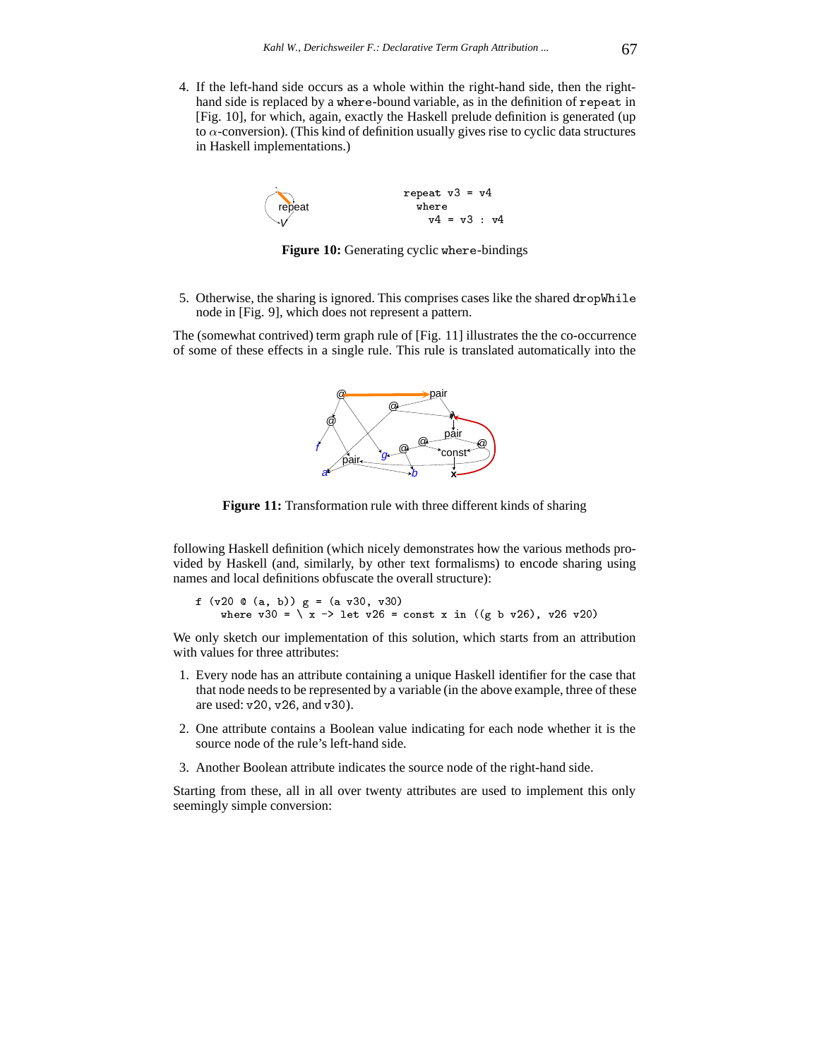4. If the left-hand side occurs as a whole within the right-hand side, then the righthand side is replaced by a where-bound variable, as in the definition of repeat in [Fig. 10], for which, again, exactly the Haskell prelude definition is generated (up to  $\alpha$ -conversion). (This kind of definition usually gives rise to cyclic data structures in Haskell implementations.)



**Figure 10:** Generating cyclic where-bindings

5. Otherwise, the sharing is ignored. This comprises cases like the shared dropWhile node in [Fig. 9], which does not represent a pattern.

The (somewhat contrived) term graph rule of [Fig. 11] illustrates the the co-occurrence of some of these effects in a single rule. This rule is translated automatically into the



**Figure 11:** Transformation rule with three different kinds of sharing

following Haskell definition (which nicely demonstrates how the various methods provided by Haskell (and, similarly, by other text formalisms) to encode sharing using names and local definitions obfuscate the overall structure):

 $f(x) = 0$  ,  $f(x) = 0$  ,  $f(x) = 0$  ,  $f(x) = 0$  ,  $f(x) = 0$ where v30 <sup>=</sup> \ <sup>x</sup> -> let v26 <sup>=</sup> const <sup>x</sup> in ((g <sup>b</sup> v26), v26 v20)

We only sketch our implementation of this solution, which starts from an attribution with values for three attributes:

- 1. Every node has an attribute containing a unique Haskell identifier for the case that that node needs to be represented by a variable (in the above example, three of these are used: v20, v26, and v30).
- 2. One attribute contains a Boolean value indicating for each node whether it is the source node of the rule's left-hand side.
- 3. Another Boolean attribute indicates the source node of the right-hand side.

Starting from these, all in all over twenty attributes are used to implement this only seemingly simple conversion: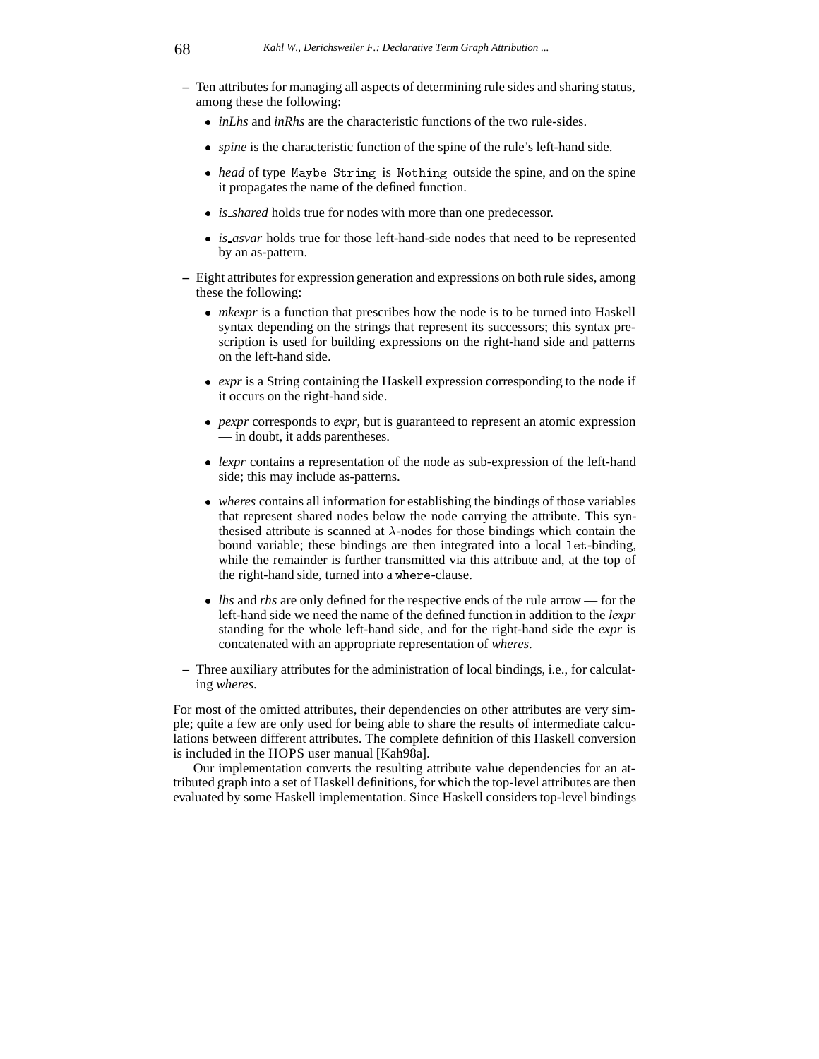- **–** Ten attributes for managing all aspects of determining rule sides and sharing status, among these the following:
	- *inLhs* and *inRhs* are the characteristic functions of the two rule-sides.
	- *spine* is the characteristic function of the spine of the rule's left-hand side.
	- *head* of type Maybe String is Nothing outside the spine, and on the spine it propagates the name of the defined function.
	- *is shared* holds true for nodes with more than one predecessor.
	- *is asvar* holds true for those left-hand-side nodes that need to be represented by an as-pattern.
- **–** Eight attributes for expression generation and expressions on both rule sides, among these the following:
	- *mkexpr* is a function that prescribes how the node is to be turned into Haskell syntax depending on the strings that represent its successors; this syntax prescription is used for building expressions on the right-hand side and patterns on the left-hand side.
	- *expr* is a String containing the Haskell expression corresponding to the node if it occurs on the right-hand side.
	- *pexpr* corresponds to *expr*, but is guaranteed to represent an atomic expression — in doubt, it adds parentheses.
	- *lexpr* contains a representation of the node as sub-expression of the left-hand side; this may include as-patterns.
	- *wheres* contains all information for establishing the bindings of those variables that represent shared nodes below the node carrying the attribute. This synthesised attribute is scanned at  $\lambda$ -nodes for those bindings which contain the bound variable; these bindings are then integrated into a local let-binding, while the remainder is further transmitted via this attribute and, at the top of the right-hand side, turned into a where-clause.
	- *lhs* and *rhs* are only defined for the respective ends of the rule arrow for the left-hand side we need the name of the defined function in addition to the *lexpr* standing for the whole left-hand side, and for the right-hand side the *expr* is concatenated with an appropriate representation of *wheres*.
- **–** Three auxiliary attributes for the administration of local bindings, i.e., for calculating *wheres*.

For most of the omitted attributes, their dependencies on other attributes are very simple; quite a few are only used for being able to share the results of intermediate calculations between different attributes. The complete definition of this Haskell conversion is included in the HOPS user manual [Kah98a].

Our implementation converts the resulting attribute value dependencies for an attributed graph into a set of Haskell definitions, for which the top-level attributes are then evaluated by some Haskell implementation. Since Haskell considers top-level bindings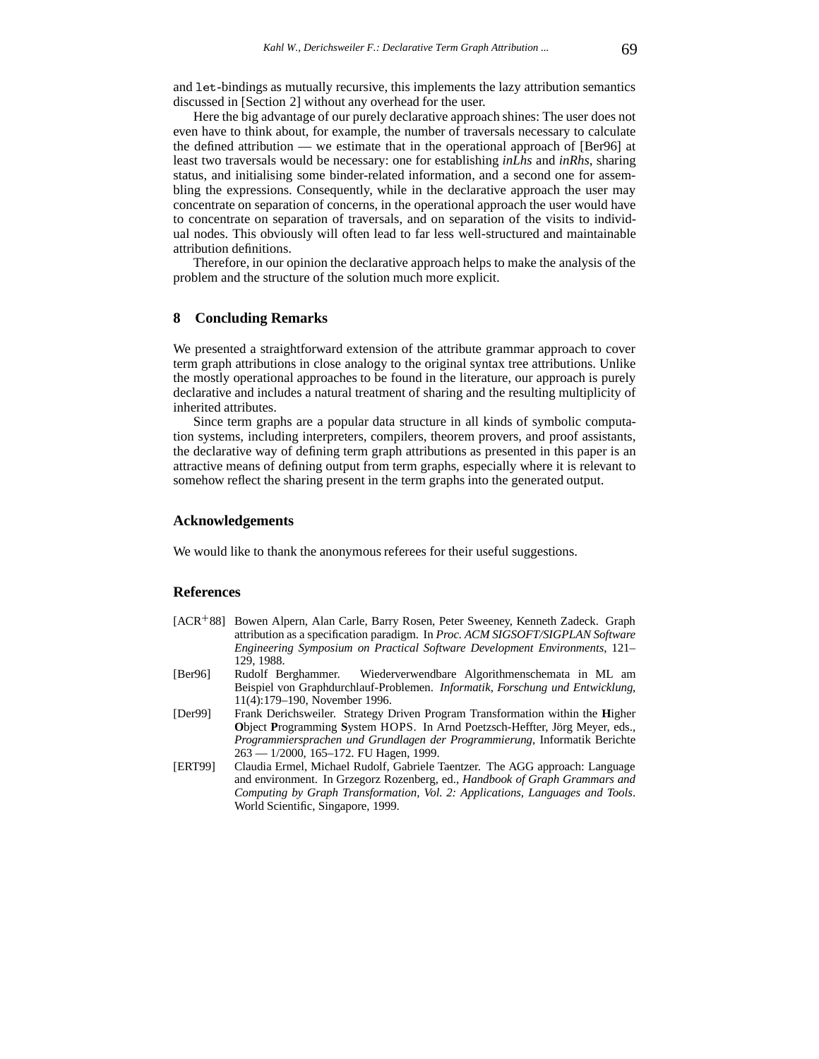and let-bindings as mutually recursive, this implements the lazy attribution semantics discussed in [Section 2] without any overhead for the user.

Here the big advantage of our purely declarative approach shines: The user does not even have to think about, for example, the number of traversals necessary to calculate the defined attribution — we estimate that in the operational approach of [Ber96] at least two traversals would be necessary: one for establishing *inLhs* and *inRhs*, sharing status, and initialising some binder-related information, and a second one for assembling the expressions. Consequently, while in the declarative approach the user may concentrate on separation of concerns, in the operational approach the user would have to concentrate on separation of traversals, and on separation of the visits to individual nodes. This obviously will often lead to far less well-structured and maintainable attribution definitions.

Therefore, in our opinion the declarative approach helps to make the analysis of the problem and the structure of the solution much more explicit.

### **8 Concluding Remarks**

We presented a straightforward extension of the attribute grammar approach to cover term graph attributions in close analogy to the original syntax tree attributions. Unlike the mostly operational approaches to be found in the literature, our approach is purely declarative and includes a natural treatment of sharing and the resulting multiplicity of inherited attributes.

Since term graphs are a popular data structure in all kinds of symbolic computation systems, including interpreters, compilers, theorem provers, and proof assistants, the declarative way of defining term graph attributions as presented in this paper is an attractive means of defining output from term graphs, especially where it is relevant to somehow reflect the sharing present in the term graphs into the generated output.

#### **Acknowledgements**

We would like to thank the anonymous referees for their useful suggestions.

#### **References**

- [ACR<sup>+</sup>88] Bowen Alpern, Alan Carle, Barry Rosen, Peter Sweeney, Kenneth Zadeck. Graph attribution as a specification paradigm. In *Proc. ACM SIGSOFT/SIGPLAN Software Engineering Symposium on Practical Software Development Environments*, 121– 129, 1988.
- [Ber96] Rudolf Berghammer. Wiederverwendbare Algorithmenschemata in ML am Beispiel von Graphdurchlauf-Problemen. *Informatik, Forschung und Entwicklung*, 11(4):179–190, November 1996.
- [Der99] Frank Derichsweiler. Strategy Driven Program Transformation within the **H**igher **Object Programming System HOPS. In Arnd Poetzsch-Heffter, Jörg Meyer, eds.,** *Programmiersprachen und Grundlagen der Programmierung*, Informatik Berichte 263 — 1/2000, 165–172. FU Hagen, 1999.
- [ERT99] Claudia Ermel, Michael Rudolf, Gabriele Taentzer. The AGG approach: Language and environment. In Grzegorz Rozenberg, ed., *Handbook of Graph Grammars and Computing by Graph Transformation, Vol. 2: Applications, Languages and Tools*. World Scientific, Singapore, 1999.